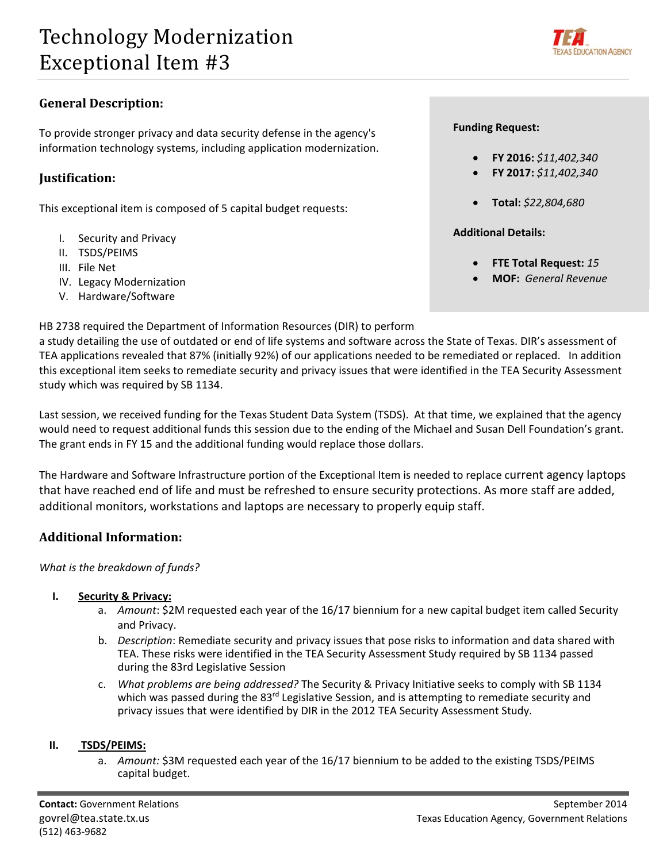

# **General Description:**

 To provide stronger privacy and data security defense in the agency's information technology systems, including application modernization.

# **Justification:**

This exceptional item is composed of 5 capital budget requests:

- I. Security and Privacy
- II. TSDS/PEIMS
- III. File Net
- IV. Legacy Modernization
- V. Hardware/Software

## HB 2738 required the Department of Information Resources (DIR) to perform

 a study detailing the use of outdated or end of life systems and software across the State of Texas. DIR's assessment of TEA applications revealed that 87% (initially 92%) of our applications needed to be remediated or replaced. In addition this exceptional item seeks to remediate security and privacy issues that were identified in the TEA Security Assessment study which was required by SB 1134.

 Last session, we received funding for the Texas Student Data System (TSDS). At that time, we explained that the agency would need to request additional funds this session due to the ending of the Michael and Susan Dell Foundation's grant. The grant ends in FY 15 and the additional funding would replace those dollars.

 The Hardware and Software Infrastructure portion of the Exceptional Item is needed to replace current agency laptops that have reached end of life and must be refreshed to ensure security protections. As more staff are added, additional monitors, workstations and laptops are necessary to properly equip staff.

# **Additional Information:**

 *What is the breakdown of funds?*

#### **I. Security & Privacy:**

- a. Amount: \$2M requested each year of the 16/17 biennium for a new capital budget item called Security and Privacy.
- b. *Description*: Remediate security and privacy issues that pose risks to information and data shared with TEA. These risks were identified in the TEA Security Assessment Study required by SB 1134 passed during the 83rd Legislative Session
- c. *What problems are being addressed?* The Security & Privacy Initiative seeks to comply with SB 1134 which was passed during the 83<sup>rd</sup> Legislative Session, and is attempting to remediate security and privacy issues that were identified by DIR in the 2012 TEA Security Assessment Study.

#### **II. TSDS/PEIMS:**

a. Amount: \$3M requested each year of the 16/17 biennium to be added to the existing TSDS/PEIMS capital budget.

## **Funding Request:**

- **FY 2016:** *\$11,402,340*
- **FY 2017:** *\$11,402,340*
- **Total:** *\$22,804,680*

 **Additional Details:**

- **FTE Total Request:** *15*
- **MOF:** *General Revenue*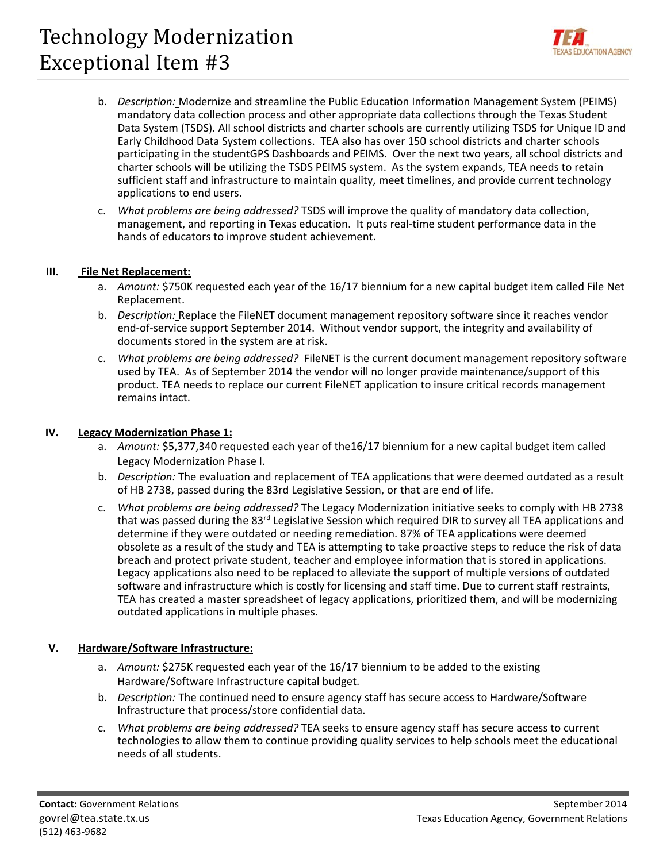# Technology Modernization Exceptional Item #3



- b. *Description:* Modernize and streamline the Public Education Information Management System (PEIMS) mandatory data collection process and other appropriate data collections through the Texas Student Data System (TSDS). All school districts and charter schools are currently utilizing TSDS for Unique ID and Early Childhood Data System collections. TEA also has over 150 school districts and charter schools participating in the studentGPS Dashboards and PEIMS. Over the next two years, all school districts and charter schools will be utilizing the TSDS PEIMS system. As the system expands, TEA needs to retain sufficient staff and infrastructure to maintain quality, meet timelines, and provide current technology applications to end users.
- c. *What problems are being addressed?* TSDS will improve the quality of mandatory data collection, management, and reporting in Texas education. It puts real‐time student performance data in the hands of educators to improve student achievement.

## **III. File Net Replacement:**

- a. *Amount:* \$750K requested each year of the 16/17 biennium for a new capital budget item called File Net Replacement.
- b. *Description:* Replace the FileNET document management repository software since it reaches vendor end‐of‐service support September 2014. Without vendor support, the integrity and availability of documents stored in the system are at risk.
- c. *What problems are being addressed?* FileNET is the current document management repository software used by TEA. As of September 2014 the vendor will no longer provide maintenance/support of this product. TEA needs to replace our current FileNET application to insure critical records management remains intact.

#### **IV. Legacy Modernization Phase 1:**

- a. Amount: \$5,377,340 requested each year of the16/17 biennium for a new capital budget item called Legacy Modernization Phase I.
- b. *Description:* The evaluation and replacement of TEA applications that were deemed outdated as a result of HB 2738, passed during the 83rd Legislative Session, or that are end of life.
- c. *What problems are being addressed?* The Legacy Modernization initiative seeks to comply with HB 2738 that was passed during the 83<sup>rd</sup> Legislative Session which required DIR to survey all TEA applications and determine if they were outdated or needing remediation. 87% of TEA applications were deemed obsolete as a result of the study and TEA is attempting to take proactive steps to reduce the risk of data breach and protect private student, teacher and employee information that is stored in applications. Legacy applications also need to be replaced to alleviate the support of multiple versions of outdated software and infrastructure which is costly for licensing and staff time. Due to current staff restraints, TEA has created a master spreadsheet of legacy applications, prioritized them, and will be modernizing outdated applications in multiple phases.

#### **V. Hardware/Software Infrastructure:**

- a. Amount: \$275K requested each year of the 16/17 biennium to be added to the existing Hardware/Software Infrastructure capital budget.
- b. *Description:* The continued need to ensure agency staff has secure access to Hardware/Software Infrastructure that process/store confidential data.
- c. *What problems are being addressed?* TEA seeks to ensure agency staff has secure access to current technologies to allow them to continue providing quality services to help schools meet the educational needs of all students.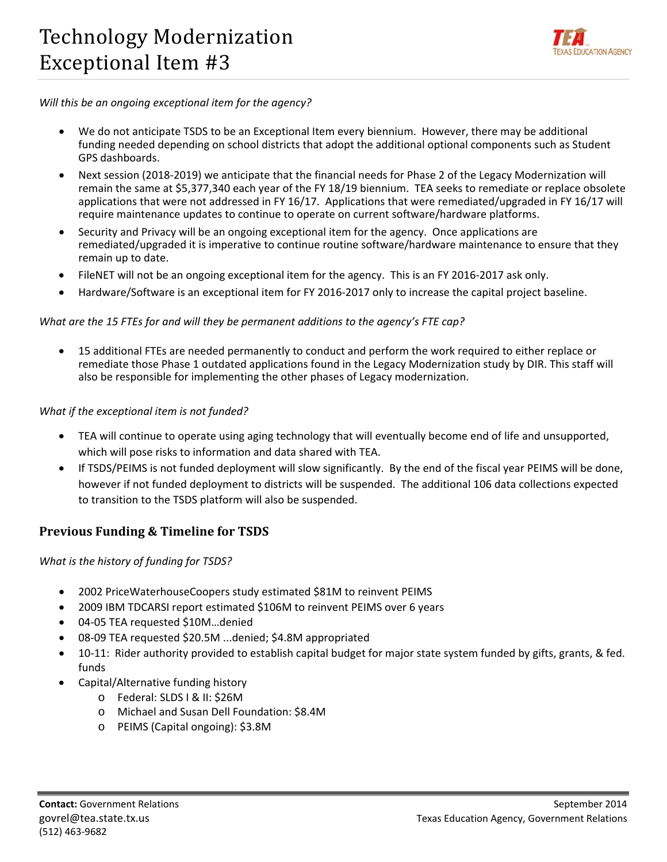

## *Will this be an ongoing exceptional item for the agency?*

- We do not anticipate TSDS to be an Exceptional Item every biennium. However, there may be additional funding needed depending on school districts that adopt the additional optional components such as Student GPS dashboards.
- Next session (2018‐2019) we anticipate that the financial needs for Phase 2 of the Legacy Modernization will remain the same at \$5,377,340 each year of the FY 18/19 biennium. TEA seeks to remediate or replace obsolete applications that were not addressed in FY 16/17. Applications that were remediated/upgraded in FY 16/17 will require maintenance updates to continue to operate on current software/hardware platforms.
- Security and Privacy will be an ongoing exceptional item for the agency. Once applications are remediated/upgraded it is imperative to continue routine software/hardware maintenance to ensure that they remain up to date.
- FileNET will not be an ongoing exceptional item for the agency. This is an FY 2016‐2017 ask only.
- Hardware/Software is an exceptional item for FY 2016‐2017 only to increase the capital project baseline.

## What are the 15 FTEs for and will they be permanent additions to the agency's FTE cap?

 15 additional FTEs are needed permanently to conduct and perform the work required to either replace or remediate those Phase 1 outdated applications found in the Legacy Modernization study by DIR. This staff will also be responsible for implementing the other phases of Legacy modernization.

## *What if the exceptional item is not funded?*

- TEA will continue to operate using aging technology that will eventually become end of life and unsupported, which will pose risks to information and data shared with TEA.
- If TSDS/PEIMS is not funded deployment will slow significantly. By the end of the fiscal year PEIMS will be done, however if not funded deployment to districts will be suspended. The additional 106 data collections expected to transition to the TSDS platform will also be suspended.

## **Previous Funding & Timeline for TSDS**

 *What is the history of funding for TSDS?*

- 2002 PriceWaterhouseCoopers study estimated \$81M to reinvent PEIMS
- 2009 IBM TDCARSI report estimated \$106M to reinvent PEIMS over 6 years
- 04‐05 TEA requested \$10M…denied
- 08-09 TEA requested \$20.5M ...denied; \$4.8M appropriated
- 10-11: Rider authority provided to establish capital budget for major state system funded by gifts, grants, & fed. funds
- Capital/Alternative funding history
	- o Federal: SLDS I & II: \$26M
	- o Michael and Susan Dell Foundation: \$8.4M
	- o PEIMS (Capital ongoing): \$3.8M